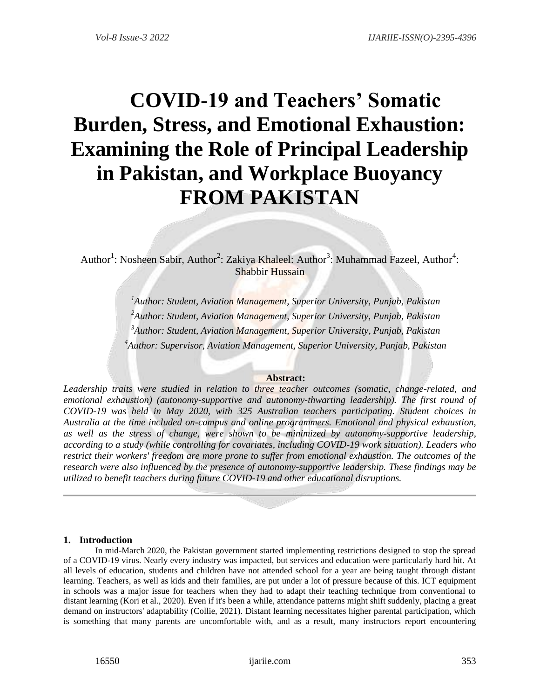# **COVID-19 and Teachers' Somatic Burden, Stress, and Emotional Exhaustion: Examining the Role of Principal Leadership in Pakistan, and Workplace Buoyancy FROM PAKISTAN**

Author<sup>1</sup>: Nosheen Sabir, Author<sup>2</sup>: Zakiya Khaleel: Author<sup>3</sup>: Muhammad Fazeel, Author<sup>4</sup>: Shabbir Hussain

> *Author: Student, Aviation Management, Superior University, Punjab, Pakistan Author: Student, Aviation Management, Superior University, Punjab, Pakistan Author: Student, Aviation Management, Superior University, Punjab, Pakistan Author: Supervisor, Aviation Management, Superior University, Punjab, Pakistan*

# **Abstract:**

*Leadership traits were studied in relation to three teacher outcomes (somatic, change-related, and emotional exhaustion) (autonomy-supportive and autonomy-thwarting leadership). The first round of COVID-19 was held in May 2020, with 325 Australian teachers participating. Student choices in Australia at the time included on-campus and online programmers. Emotional and physical exhaustion, as well as the stress of change, were shown to be minimized by autonomy-supportive leadership, according to a study (while controlling for covariates, including COVID-19 work situation). Leaders who restrict their workers' freedom are more prone to suffer from emotional exhaustion. The outcomes of the research were also influenced by the presence of autonomy-supportive leadership. These findings may be utilized to benefit teachers during future COVID-19 and other educational disruptions.*

# **1. Introduction**

In mid-March 2020, the Pakistan government started implementing restrictions designed to stop the spread of a COVID-19 virus. Nearly every industry was impacted, but services and education were particularly hard hit. At all levels of education, students and children have not attended school for a year are being taught through distant learning. Teachers, as well as kids and their families, are put under a lot of pressure because of this. ICT equipment in schools was a major issue for teachers when they had to adapt their teaching technique from conventional to distant learning (Kori et al., 2020). Even if it's been a while, attendance patterns might shift suddenly, placing a great demand on instructors' adaptability (Collie, 2021). Distant learning necessitates higher parental participation, which is something that many parents are uncomfortable with, and as a result, many instructors report encountering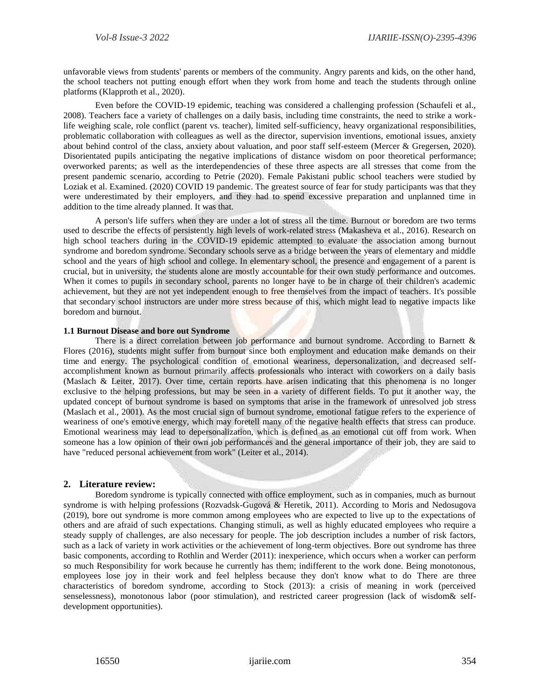unfavorable views from students' parents or members of the community. Angry parents and kids, on the other hand, the school teachers not putting enough effort when they work from home and teach the students through online platforms (Klapproth et al., 2020).

Even before the COVID-19 epidemic, teaching was considered a challenging profession (Schaufeli et al., 2008). Teachers face a variety of challenges on a daily basis, including time constraints, the need to strike a worklife weighing scale, role conflict (parent vs. teacher), limited self-sufficiency, heavy organizational responsibilities, problematic collaboration with colleagues as well as the director, supervision inventions, emotional issues, anxiety about behind control of the class, anxiety about valuation, and poor staff self-esteem (Mercer & Gregersen, 2020). Disorientated pupils anticipating the negative implications of distance wisdom on poor theoretical performance; overworked parents; as well as the interdependencies of these three aspects are all stresses that come from the present pandemic scenario, according to Petrie (2020). Female Pakistani public school teachers were studied by Loziak et al. Examined. (2020) COVID 19 pandemic. The greatest source of fear for study participants was that they were underestimated by their employers, and they had to spend excessive preparation and unplanned time in addition to the time already planned. It was that.

A person's life suffers when they are under a lot of stress all the time. Burnout or boredom are two terms used to describe the effects of persistently high levels of work-related stress (Makasheva et al., 2016). Research on high school teachers during in the COVID-19 epidemic attempted to evaluate the association among burnout syndrome and boredom syndrome. Secondary schools serve as a bridge between the years of elementary and middle school and the years of high school and college. In elementary school, the presence and engagement of a parent is crucial, but in university, the students alone are mostly accountable for their own study performance and outcomes. When it comes to pupils in secondary school, parents no longer have to be in charge of their children's academic achievement, but they are not yet independent enough to free themselves from the impact of teachers. It's possible that secondary school instructors are under more stress because of this, which might lead to negative impacts like boredom and burnout.

#### **1.1 Burnout Disease and bore out Syndrome**

There is a direct correlation between job performance and burnout syndrome. According to Barnett & Flores (2016), students might suffer from burnout since both employment and education make demands on their time and energy. The psychological condition of emotional weariness, depersonalization, and decreased selfaccomplishment known as burnout primarily affects professionals who interact with coworkers on a daily basis (Maslach & Leiter, 2017). Over time, certain reports have arisen indicating that this phenomena is no longer exclusive to the helping professions, but may be seen in a variety of different fields. To put it another way, the updated concept of burnout syndrome is based on symptoms that arise in the framework of unresolved job stress (Maslach et al., 2001). As the most crucial sign of burnout syndrome, emotional fatigue refers to the experience of weariness of one's emotive energy, which may foretell many of the negative health effects that stress can produce. Emotional weariness may lead to depersonalization, which is defined as an emotional cut off from work. When someone has a low opinion of their own job performances and the general importance of their job, they are said to have "reduced personal achievement from work" (Leiter et al., 2014).

# **2. Literature review:**

Boredom syndrome is typically connected with office employment, such as in companies, much as burnout syndrome is with helping professions (Rozvadsk-Gugová & Heretik, 2011). According to Moris and Nedosugova (2019), bore out syndrome is more common among employees who are expected to live up to the expectations of others and are afraid of such expectations. Changing stimuli, as well as highly educated employees who require a steady supply of challenges, are also necessary for people. The job description includes a number of risk factors, such as a lack of variety in work activities or the achievement of long-term objectives. Bore out syndrome has three basic components, according to Rothlin and Werder (2011): inexperience, which occurs when a worker can perform so much Responsibility for work because he currently has them; indifferent to the work done. Being monotonous, employees lose joy in their work and feel helpless because they don't know what to do There are three characteristics of boredom syndrome, according to Stock (2013): a crisis of meaning in work (perceived senselessness), monotonous labor (poor stimulation), and restricted career progression (lack of wisdom& selfdevelopment opportunities).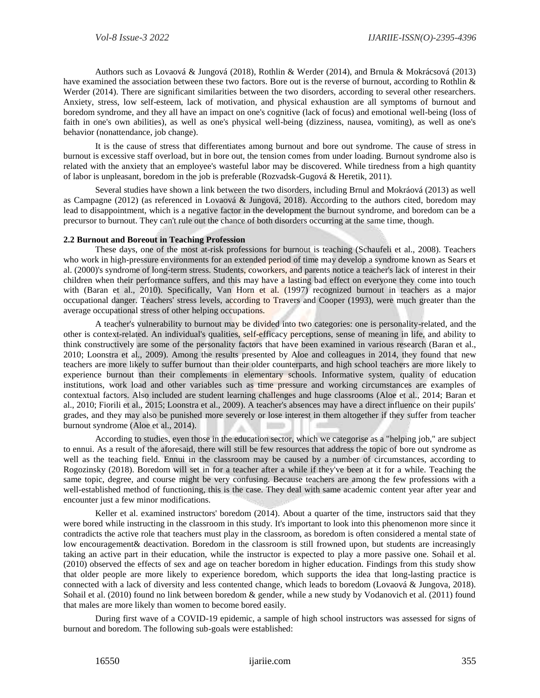Authors such as Lovaová & Jungová (2018), Rothlin & Werder (2014), and Brnula & Mokrácsová (2013) have examined the association between these two factors. Bore out is the reverse of burnout, according to Rothlin & Werder (2014). There are significant similarities between the two disorders, according to several other researchers. Anxiety, stress, low self-esteem, lack of motivation, and physical exhaustion are all symptoms of burnout and boredom syndrome, and they all have an impact on one's cognitive (lack of focus) and emotional well-being (loss of faith in one's own abilities), as well as one's physical well-being (dizziness, nausea, vomiting), as well as one's behavior (nonattendance, job change).

It is the cause of stress that differentiates among burnout and bore out syndrome. The cause of stress in burnout is excessive staff overload, but in bore out, the tension comes from under loading. Burnout syndrome also is related with the anxiety that an employee's wasteful labor may be discovered. While tiredness from a high quantity of labor is unpleasant, boredom in the job is preferable (Rozvadsk-Gugová & Heretik, 2011).

Several studies have shown a link between the two disorders, including Brnul and Mokráová (2013) as well as Campagne (2012) (as referenced in Lovaová & Jungová, 2018). According to the authors cited, boredom may lead to disappointment, which is a negative factor in the development the burnout syndrome, and boredom can be a precursor to burnout. They can't rule out the chance of both disorders occurring at the same time, though.

#### **2.2 Burnout and Boreout in Teaching Profession**

These days, one of the most at-risk professions for burnout is teaching (Schaufeli et al., 2008). Teachers who work in high-pressure environments for an extended period of time may develop a syndrome known as Sears et al. (2000)'s syndrome of long-term stress. Students, coworkers, and parents notice a teacher's lack of interest in their children when their performance suffers, and this may have a lasting bad effect on everyone they come into touch with (Baran et al., 2010). Specifically, Van Horn et al. (1997) recognized burnout in teachers as a major occupational danger. Teachers' stress levels, according to Travers and Cooper (1993), were much greater than the average occupational stress of other helping occupations.

A teacher's vulnerability to burnout may be divided into two categories: one is personality-related, and the other is context-related. An individual's qualities, self-efficacy perceptions, sense of meaning in life, and ability to think constructively are some of the personality factors that have been examined in various research (Baran et al., 2010; Loonstra et al., 2009). Among the results presented by Aloe and colleagues in 2014, they found that new teachers are more likely to suffer burnout than their older counterparts, and high school teachers are more likely to experience burnout than their complements in elementary schools. Informative system, quality of education institutions, work load and other variables such as time pressure and working circumstances are examples of contextual factors. Also included are student learning challenges and huge classrooms (Aloe et al., 2014; Baran et al., 2010; Fiorili et al., 2015; Loonstra et al., 2009). A teacher's absences may have a direct influence on their pupils' grades, and they may also be punished more severely or lose interest in them altogether if they suffer from teacher burnout syndrome (Aloe et al., 2014).

According to studies, even those in the education sector, which we categorise as a "helping job," are subject to ennui. As a result of the aforesaid, there will still be few resources that address the topic of bore out syndrome as well as the teaching field. Ennui in the classroom may be caused by a number of circumstances, according to Rogozinsky (2018). Boredom will set in for a teacher after a while if they've been at it for a while. Teaching the same topic, degree, and course might be very confusing. Because teachers are among the few professions with a well-established method of functioning, this is the case. They deal with same academic content year after year and encounter just a few minor modifications.

Keller et al. examined instructors' boredom (2014). About a quarter of the time, instructors said that they were bored while instructing in the classroom in this study. It's important to look into this phenomenon more since it contradicts the active role that teachers must play in the classroom, as boredom is often considered a mental state of low encouragement& deactivation. Boredom in the classroom is still frowned upon, but students are increasingly taking an active part in their education, while the instructor is expected to play a more passive one. Sohail et al. (2010) observed the effects of sex and age on teacher boredom in higher education. Findings from this study show that older people are more likely to experience boredom, which supports the idea that long-lasting practice is connected with a lack of diversity and less contented change, which leads to boredom (Lovaová & Jungova, 2018). Sohail et al. (2010) found no link between boredom & gender, while a new study by Vodanovich et al. (2011) found that males are more likely than women to become bored easily.

During first wave of a COVID-19 epidemic, a sample of high school instructors was assessed for signs of burnout and boredom. The following sub-goals were established: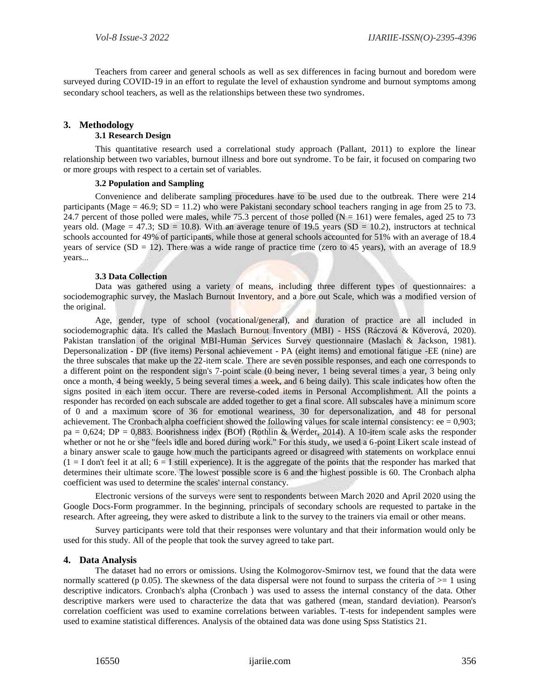Teachers from career and general schools as well as sex differences in facing burnout and boredom were surveyed during COVID-19 in an effort to regulate the level of exhaustion syndrome and burnout symptoms among secondary school teachers, as well as the relationships between these two syndromes.

# **3. Methodology**

# **3.1 Research Design**

This quantitative research used a correlational study approach (Pallant, 2011) to explore the linear relationship between two variables, burnout illness and bore out syndrome. To be fair, it focused on comparing two or more groups with respect to a certain set of variables.

### **3.2 Population and Sampling**

Convenience and deliberate sampling procedures have to be used due to the outbreak. There were 214 participants (Mage =  $46.9$ ; SD = 11.2) who were Pakistani secondary school teachers ranging in age from 25 to 73. 24.7 percent of those polled were males, while 75.3 percent of those polled  $(N = 161)$  were females, aged 25 to 73 years old. (Mage = 47.3; SD = 10.8). With an average tenure of 19.5 years (SD = 10.2), instructors at technical schools accounted for 49% of participants, while those at general schools accounted for 51% with an average of 18.4 years of service  $(SD = 12)$ . There was a wide range of practice time (zero to 45 years), with an average of 18.9 years...

#### **3.3 Data Collection**

Data was gathered using a variety of means, including three different types of questionnaires: a sociodemographic survey, the Maslach Burnout Inventory, and a bore out Scale, which was a modified version of the original.

Age, gender, type of school (vocational/general), and duration of practice are all included in sociodemographic data. It's called the Maslach Burnout Inventory (MBI) - HSS (Ráczová & Köverová, 2020). Pakistan translation of the original MBI-Human Services Survey questionnaire (Maslach & Jackson, 1981). Depersonalization - DP (five items) Personal achievement - PA (eight items) and emotional fatigue -EE (nine) are the three subscales that make up the 22-item scale. There are seven possible responses, and each one corresponds to a different point on the respondent sign's 7-point scale (0 being never, 1 being several times a year, 3 being only once a month, 4 being weekly, 5 being several times a week, and 6 being daily). This scale indicates how often the signs posited in each item occur. There are reverse-coded items in Personal Accomplishment. All the points a responder has recorded on each subscale are added together to get a final score. All subscales have a minimum score of 0 and a maximum score of 36 for emotional weariness, 30 for depersonalization, and 48 for personal achievement. The Cronbach alpha coefficient showed the following values for scale internal consistency:  $ee = 0.903$ ; pa = 0,624; DP = 0,883. Boorishness index (BOI) (Rothlin & Werder, 2014). A 10-item scale asks the responder whether or not he or she "feels idle and bored during work." For this study, we used a 6-point Likert scale instead of a binary answer scale to gauge how much the participants agreed or disagreed with statements on workplace ennui  $(1 = I$  don't feel it at all;  $6 = I$  still experience). It is the aggregate of the points that the responder has marked that determines their ultimate score. The lowest possible score is 6 and the highest possible is 60. The Cronbach alpha coefficient was used to determine the scales' internal constancy.

Electronic versions of the surveys were sent to respondents between March 2020 and April 2020 using the Google Docs-Form programmer. In the beginning, principals of secondary schools are requested to partake in the research. After agreeing, they were asked to distribute a link to the survey to the trainers via email or other means.

Survey participants were told that their responses were voluntary and that their information would only be used for this study. All of the people that took the survey agreed to take part.

# **4. Data Analysis**

The dataset had no errors or omissions. Using the Kolmogorov-Smirnov test, we found that the data were normally scattered (p 0.05). The skewness of the data dispersal were not found to surpass the criteria of  $\geq 1$  using descriptive indicators. Cronbach's alpha (Cronbach ) was used to assess the internal constancy of the data. Other descriptive markers were used to characterize the data that was gathered (mean, standard deviation). Pearson's correlation coefficient was used to examine correlations between variables. T-tests for independent samples were used to examine statistical differences. Analysis of the obtained data was done using Spss Statistics 21.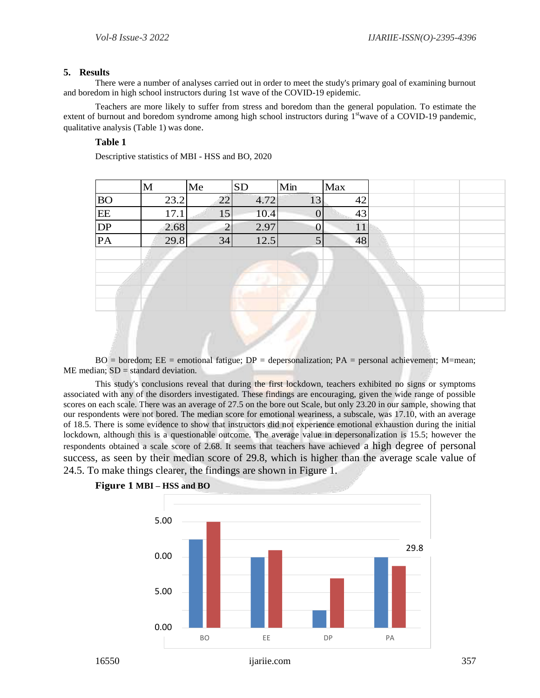# **5. Results**

There were a number of analyses carried out in order to meet the study's primary goal of examining burnout and boredom in high school instructors during 1st wave of the COVID-19 epidemic.

Teachers are more likely to suffer from stress and boredom than the general population. To estimate the extent of burnout and boredom syndrome among high school instructors during 1<sup>st</sup>wave of a COVID-19 pandemic, qualitative analysis (Table 1) was done.

# **Table 1**

Descriptive statistics of MBI - HSS and BO, 2020

|           | M    | Me | <b>SD</b> | Min            | Max |  |
|-----------|------|----|-----------|----------------|-----|--|
| <b>BO</b> | 23.2 | 22 | 4.72      | 13             | 42  |  |
| EE        | 17.1 | 15 | 10.4      | $\mathbf{0}$   | 43  |  |
| DP        | 2.68 | ↑  | 2.97      | $\overline{0}$ | 11  |  |
| PA        | 29.8 | 34 | 12.5      | 5              | 48  |  |
|           |      |    |           |                |     |  |
|           |      |    |           |                |     |  |
|           |      |    |           |                |     |  |
|           |      |    |           |                |     |  |

 $BO = 6$  boredom;  $EE = 4$  emotional fatigue;  $DP = 4$  depersonalization;  $PA = 5$  personal achievement; M = mean;  $ME$  median:  $SD =$  standard deviation.

This study's conclusions reveal that during the first lockdown, teachers exhibited no signs or symptoms associated with any of the disorders investigated. These findings are encouraging, given the wide range of possible scores on each scale. There was an average of 27.5 on the bore out Scale, but only 23.20 in our sample, showing that our respondents were not bored. The median score for emotional weariness, a subscale, was 17.10, with an average of 18.5. There is some evidence to show that instructors did not experience emotional exhaustion during the initial lockdown, although this is a questionable outcome. The average value in depersonalization is 15.5; however the respondents obtained a scale score of 2.68. It seems that teachers have achieved a high degree of personal success, as seen by their median score of 29.8, which is higher than the average scale value of 24.5. To make things clearer, the findings are shown in Figure 1.



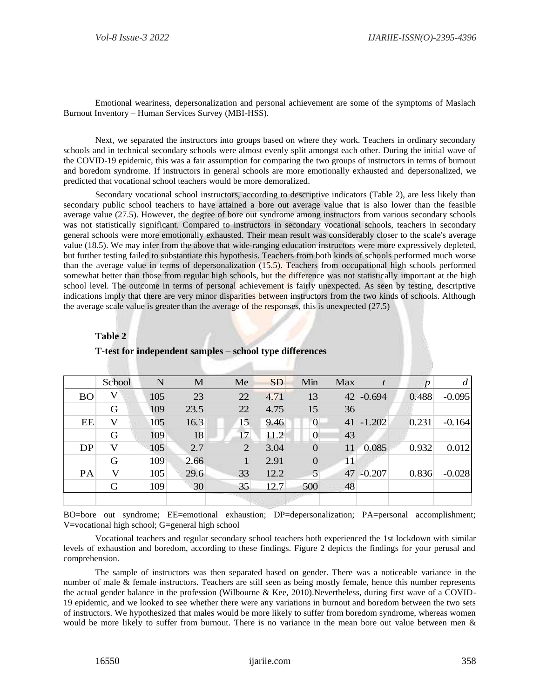Emotional weariness, depersonalization and personal achievement are some of the symptoms of Maslach Burnout Inventory – Human Services Survey (MBI-HSS).

Next, we separated the instructors into groups based on where they work. Teachers in ordinary secondary schools and in technical secondary schools were almost evenly split amongst each other. During the initial wave of the COVID-19 epidemic, this was a fair assumption for comparing the two groups of instructors in terms of burnout and boredom syndrome. If instructors in general schools are more emotionally exhausted and depersonalized, we predicted that vocational school teachers would be more demoralized.

Secondary vocational school instructors, according to descriptive indicators (Table 2), are less likely than secondary public school teachers to have attained a bore out average value that is also lower than the feasible average value (27.5). However, the degree of bore out syndrome among instructors from various secondary schools was not statistically significant. Compared to instructors in secondary vocational schools, teachers in secondary general schools were more emotionally exhausted. Their mean result was considerably closer to the scale's average value (18.5). We may infer from the above that wide-ranging education instructors were more expressively depleted, but further testing failed to substantiate this hypothesis. Teachers from both kinds of schools performed much worse than the average value in terms of depersonalization (15.5). Teachers from occupational high schools performed somewhat better than those from regular high schools, but the difference was not statistically important at the high school level. The outcome in terms of personal achievement is fairly unexpected. As seen by testing, descriptive indications imply that there are very minor disparities between instructors from the two kinds of schools. Although the average scale value is greater than the average of the responses, this is unexpected (27.5)

|           | School | $\mathbf N$ | M    | Me | <b>SD</b> | Min             | Max | $\boldsymbol{t}$ | $\boldsymbol{p}$ | d        |
|-----------|--------|-------------|------|----|-----------|-----------------|-----|------------------|------------------|----------|
| <b>BO</b> | V      | 105         | 23   | 22 | 4.71      | 13              |     | 42 -0.694        | 0.488            | $-0.095$ |
|           | G      | 109         | 23.5 | 22 | 4.75      | 15              | 36  |                  |                  |          |
| EE        | V      | 105         | 16.3 | 15 | 9.46      | $\mathbf{0}$    |     | $41 - 1.202$     | 0.231            | $-0.164$ |
|           | G      | 109         | 18   | 17 | 11.2      | $\overline{0}$  | 43  |                  |                  |          |
| DP        | V      | 105         | 2.7  | 2  | 3.04      | 0               | 11  | 0.085            | 0.932            | 0.012    |
|           | G      | 109         | 2.66 |    | 2.91      | $\overline{0}$  | 11  |                  |                  |          |
| PA        | V      | 105         | 29.6 | 33 | 12.2      | $5\overline{)}$ | 47  | $-0.207$         | 0.836            | $-0.028$ |
|           | G      | 109         | 30   | 35 | 12.7      | 500             | 48  |                  |                  |          |
|           |        |             |      |    |           |                 |     |                  |                  |          |

# **T-test for independent samples – school type differences**

BO=bore out syndrome; EE=emotional exhaustion; DP=depersonalization; PA=personal accomplishment; V=vocational high school; G=general high school

Vocational teachers and regular secondary school teachers both experienced the 1st lockdown with similar levels of exhaustion and boredom, according to these findings. Figure 2 depicts the findings for your perusal and comprehension.

The sample of instructors was then separated based on gender. There was a noticeable variance in the number of male & female instructors. Teachers are still seen as being mostly female, hence this number represents the actual gender balance in the profession (Wilbourne & Kee, 2010).Nevertheless, during first wave of a COVID-19 epidemic, and we looked to see whether there were any variations in burnout and boredom between the two sets of instructors. We hypothesized that males would be more likely to suffer from boredom syndrome, whereas women would be more likely to suffer from burnout. There is no variance in the mean bore out value between men &

**Table 2**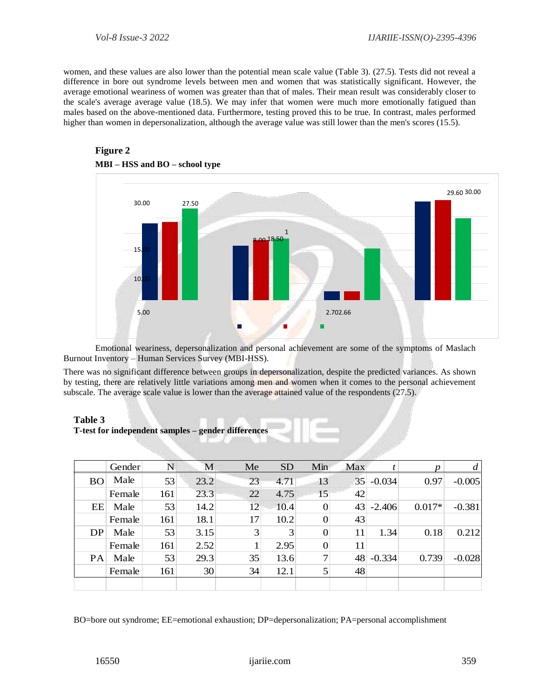women, and these values are also lower than the potential mean scale value (Table 3). (27.5). Tests did not reveal a difference in bore out syndrome levels between men and women that was statistically significant. However, the average emotional weariness of women was greater than that of males. Their mean result was considerably closer to the scale's average average value (18.5). We may infer that women were much more emotionally fatigued than males based on the above-mentioned data. Furthermore, testing proved this to be true. In contrast, males performed higher than women in depersonalization, although the average value was still lower than the men's scores (15.5).



# **Figure 2 MBI – HSS and BO – school type**

Emotional weariness, depersonalization and personal achievement are some of the symptoms of Maslach Burnout Inventory – Human Services Survey (MBI-HSS).

There was no significant difference between groups in depersonalization, despite the predicted variances. As shown by testing, there are relatively little variations among men and women when it comes to the personal achievement subscale. The average scale value is lower than the average attained value of the respondents (27.5).

#### **Table 3**

| T-test for independent samples – gender differences |  |  |  |
|-----------------------------------------------------|--|--|--|
|-----------------------------------------------------|--|--|--|

|           | Gender | N   | М    | Me | <b>SD</b> | Min | Max             |          |          |          |
|-----------|--------|-----|------|----|-----------|-----|-----------------|----------|----------|----------|
| <b>BO</b> | Male   | 53  | 23.2 | 23 | 4.71      | 13  | 35 <sup>2</sup> | $-0.034$ | 0.97     | $-0.005$ |
|           | Female | 161 | 23.3 | 22 | 4.75      | 15  | 42              |          |          |          |
| EE        | Male   | 53  | 14.2 | 12 | 10.4      | 0   | 43              | $-2.406$ | $0.017*$ | $-0.381$ |
|           | Female | 161 | 18.1 | 17 | 10.2      | 0   | 43              |          |          |          |
| DP        | Male   | 53  | 3.15 | 3  | 3         | 0   | 11              | 1.34     | 0.18     | 0.212    |
|           | Female | 161 | 2.52 |    | 2.95      | 0   | 11              |          |          |          |
| <b>PA</b> | Male   | 53  | 29.3 | 35 | 13.6      | 7   | 48              | $-0.334$ | 0.739    | $-0.028$ |
|           | Female | 161 | 30   | 34 | 12.1      | 5   | 48              |          |          |          |
|           |        |     |      |    |           |     |                 |          |          |          |

BO=bore out syndrome; EE=emotional exhaustion; DP=depersonalization; PA=personal accomplishment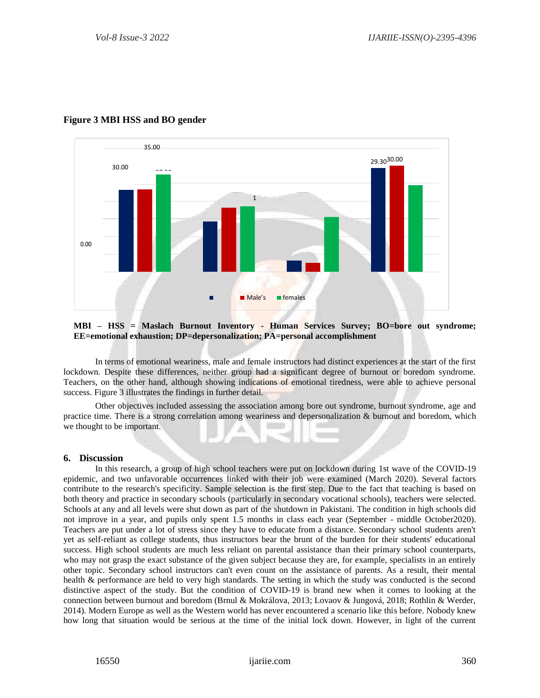

# **Figure 3 MBI HSS and BO gender**

#### **MBI – HSS = Maslach Burnout Inventory - Human Services Survey; BO=bore out syndrome; EE=emotional exhaustion; DP=depersonalization; PA=personal accomplishment**

In terms of emotional weariness, male and female instructors had distinct experiences at the start of the first lockdown. Despite these differences, neither group had a significant degree of burnout or boredom syndrome. Teachers, on the other hand, although showing indications of emotional tiredness, were able to achieve personal success. Figure 3 illustrates the findings in further detail.

Other objectives included assessing the association among bore out syndrome, burnout syndrome, age and practice time. There is a strong correlation among weariness and depersonalization & burnout and boredom, which we thought to be important.

# **6. Discussion**

In this research, a group of high school teachers were put on lockdown during 1st wave of the COVID-19 epidemic, and two unfavorable occurrences linked with their job were examined (March 2020). Several factors contribute to the research's specificity. Sample selection is the first step. Due to the fact that teaching is based on both theory and practice in secondary schools (particularly in secondary vocational schools), teachers were selected. Schools at any and all levels were shut down as part of the shutdown in Pakistani. The condition in high schools did not improve in a year, and pupils only spent 1.5 months in class each year (September - middle October2020). Teachers are put under a lot of stress since they have to educate from a distance. Secondary school students aren't yet as self-reliant as college students, thus instructors bear the brunt of the burden for their students' educational success. High school students are much less reliant on parental assistance than their primary school counterparts, who may not grasp the exact substance of the given subject because they are, for example, specialists in an entirely other topic. Secondary school instructors can't even count on the assistance of parents. As a result, their mental health & performance are held to very high standards. The setting in which the study was conducted is the second distinctive aspect of the study. But the condition of COVID-19 is brand new when it comes to looking at the connection between burnout and boredom (Brnul & Mokrálova, 2013; Lovaov & Jungová, 2018; Rothlin & Werder, 2014). Modern Europe as well as the Western world has never encountered a scenario like this before. Nobody knew how long that situation would be serious at the time of the initial lock down. However, in light of the current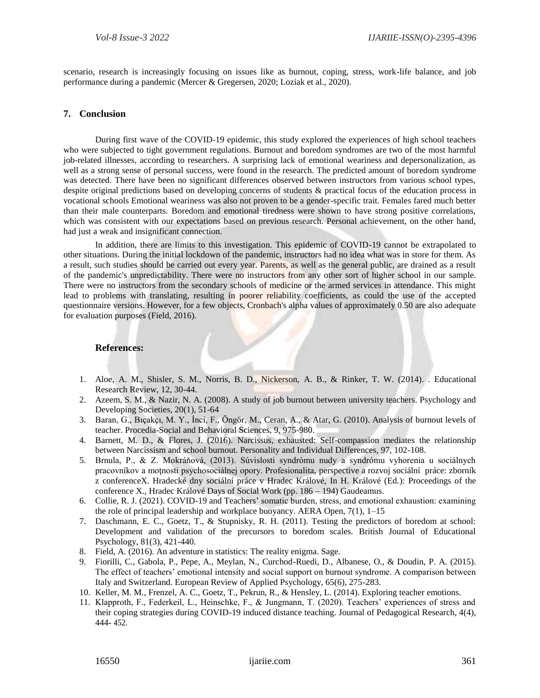scenario, research is increasingly focusing on issues like as burnout, coping, stress, work-life balance, and job performance during a pandemic (Mercer & Gregersen, 2020; Loziak et al., 2020).

# **7. Conclusion**

During first wave of the COVID-19 epidemic, this study explored the experiences of high school teachers who were subjected to tight government regulations. Burnout and boredom syndromes are two of the most harmful job-related illnesses, according to researchers. A surprising lack of emotional weariness and depersonalization, as well as a strong sense of personal success, were found in the research. The predicted amount of boredom syndrome was detected. There have been no significant differences observed between instructors from various school types, despite original predictions based on developing concerns of students & practical focus of the education process in vocational schools Emotional weariness was also not proven to be a gender-specific trait. Females fared much better than their male counterparts. Boredom and emotional tiredness were shown to have strong positive correlations, which was consistent with our expectations based on previous research. Personal achievement, on the other hand, had just a weak and insignificant connection.

In addition, there are limits to this investigation. This epidemic of COVID-19 cannot be extrapolated to other situations. During the initial lockdown of the pandemic, instructors had no idea what was in store for them. As a result, such studies should be carried out every year. Parents, as well as the general public, are drained as a result of the pandemic's unpredictability. There were no instructors from any other sort of higher school in our sample. There were no instructors from the secondary schools of medicine or the armed services in attendance. This might lead to problems with translating, resulting in poorer reliability coefficients, as could the use of the accepted questionnaire versions. However, for a few objects, Cronbach's alpha values of approximately 0.50 are also adequate for evaluation purposes (Field, 2016).

### **References:**

- 1. Aloe, A. M., Shisler, S. M., Norris, B. D., Nickerson, A. B., & Rinker, T. W. (2014). . Educational Research Review, 12, 30-44.
- 2. Azeem, S. M., & Nazir, N. A. (2008). A study of job burnout between university teachers. Psychology and Developing Societies, 20(1), 51-64
- 3. Baran, G., Bıçakçı, M. Y., İnci, F., Öngör, M., Ceran, A., & Atar, G. (2010). Analysis of burnout levels of teacher. Procedia-Social and Behavioral Sciences, 9, 975-980.
- 4. Barnett, M. D., & Flores, J. (2016). Narcissus, exhausted: Self-compassion mediates the relationship between Narcissism and school burnout. Personality and Individual Differences, 97, 102-108.
- 5. Brnula, P., & Z. Mokráňová, (2013). Súvislosti syndrómu nudy a syndrómu vyhorenia u sociálnych pracovníkov a moţnosti psychosociálnej opory. Profesionalita, perspective a rozvoj sociální práce: zborník z conferenceX. Hradecké dny sociální práce v Hradec Králové, In H. Králové (Ed.): Proceedings of the conference X., Hradec Králové Days of Social Work (pp. 186 – 194) Gaudeamus.
- 6. Collie, R. J. (2021). COVID-19 and Teachers' somatic burden, stress, and emotional exhaustion: examining the role of principal leadership and workplace buoyancy. AERA Open, 7(1), 1–15
- 7. Daschmann, E. C., Goetz, T., & Stupnisky, R. H. (2011). Testing the predictors of boredom at school: Development and validation of the precursors to boredom scales. British Journal of Educational Psychology, 81(3), 421-440.
- 8. Field, A. (2016). An adventure in statistics: The reality enigma. Sage.
- 9. Fiorilli, C., Gabola, P., Pepe, A., Meylan, N., Curchod-Ruedi, D., Albanese, O., & Doudin, P. A. (2015). The effect of teachers' emotional intensity and social support on burnout syndrome. A comparison between Italy and Switzerland. European Review of Applied Psychology, 65(6), 275-283.
- 10. Keller, M. M., Frenzel, A. C., Goetz, T., Pekrun, R., & Hensley, L. (2014). Exploring teacher emotions.
- 11. Klapproth, F., Federkeil, L., Heinschke, F., & Jungmann, T. (2020). Teachers' experiences of stress and their coping strategies during COVID-19 induced distance teaching. Journal of Pedagogical Research, 4(4), 444- 452.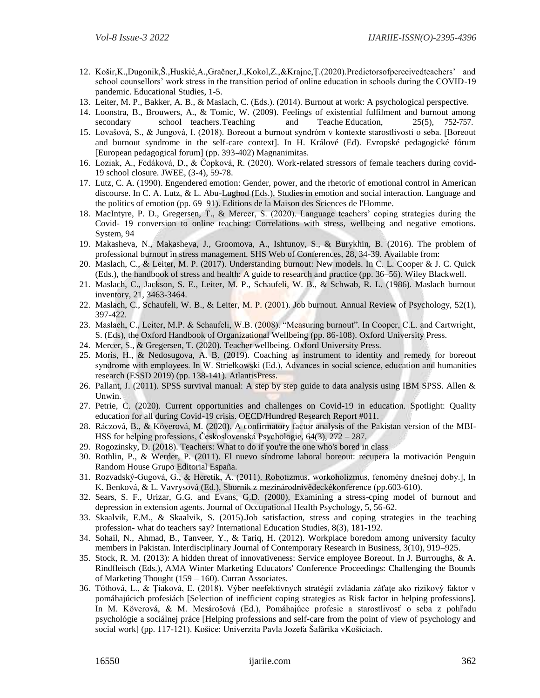- 12. Košir,K.,Dugonik,Š.,Huskić,A.,Gračner,J.,Kokol,Z.,&Krajnc,Ţ.(2020).Predictorsofperceivedteachers' and school counsellors' work stress in the transition period of online education in schools during the COVID-19 pandemic. Educational Studies, 1-5.
- 13. Leiter, M. P., Bakker, A. B., & Maslach, C. (Eds.). (2014). Burnout at work: A psychological perspective.
- 14. Loonstra, B., Brouwers, A., & Tomic, W. (2009). Feelings of existential fulfilment and burnout among secondary school teachers. Teaching and Teache Education, 25(5), 752-757.
- 15. Lovašová, S., & Jungová, I. (2018). Boreout a burnout syndróm v kontexte starostlivosti o seba. [Boreout and burnout syndrome in the self-care context]. In H. Králové (Ed). Evropské pedagogické fórum [European pedagogical forum] (pp. 393-402) Magnanimitas.
- 16. Loziak, A., Fedáková, D., & Čopková, R. (2020). Work-related stressors of female teachers during covid-19 school closure. JWEE, (3-4), 59-78.
- 17. Lutz, C. A. (1990). Engendered emotion: Gender, power, and the rhetoric of emotional control in American discourse. In C. A. Lutz, & L. Abu-Lughod (Eds.), Studies in emotion and social interaction. Language and the politics of emotion (pp. 69–91). Editions de la Maison des Sciences de l'Homme.
- 18. MacIntyre, P. D., Gregersen, T., & Mercer, S. (2020). Language teachers' coping strategies during the Covid- 19 conversion to online teaching: Correlations with stress, wellbeing and negative emotions. System, 94
- 19. Makasheva, N., Makasheva, J., Groomova, A., Ishtunov, S., & Burykhin, B. (2016). The problem of professional burnout in stress management. SHS Web of Conferences, 28, 34-39. Available from:
- 20. Maslach, C., & Leiter, M. P. (2017). Understanding burnout: New models. In C. L. Cooper & J. C. Quick (Eds.), the handbook of stress and health: A guide to research and practice (pp. 36–56). Wiley Blackwell.
- 21. Maslach, C., Jackson, S. E., Leiter, M. P., Schaufeli, W. B., & Schwab, R. L. (1986). Maslach burnout inventory, 21, 3463-3464.
- 22. Maslach, C., Schaufeli, W. B., & Leiter, M. P. (2001). Job burnout. Annual Review of Psychology, 52(1), 397-422.
- 23. Maslach, C., Leiter, M.P. & Schaufeli, W.B. (2008). "Measuring burnout". In Cooper, C.L. and Cartwright, S. (Eds), the Oxford Handbook of Organizational Wellbeing (pp. 86-108). Oxford University Press.
- 24. Mercer, S., & Gregersen, T. (2020). Teacher wellbeing. Oxford University Press.
- 25. Moris, H., & Nedosugova, A. B. (2019). Coaching as instrument to identity and remedy for boreout syndrome with employees. In W. Striełkowski (Ed.), Advances in social science, education and humanities research (ESSD 2019) (pp. 138-141). AtlantisPress.
- 26. Pallant, J. (2011). SPSS survival manual: A step by step guide to data analysis using IBM SPSS. Allen & Unwin.
- 27. Petrie, C. (2020). Current opportunities and challenges on Covid-19 in education. Spotlight: Quality education for all during Covid-19 crisis. OECD/Hundred Research Report #011.
- 28. Ráczová, B., & Köverová, M. (2020). A confirmatory factor analysis of the Pakistan version of the MBI-HSS for helping professions, Československá Psychologie, 64(3), 272 – 287.
- 29. Rogozinsky, D. (2018). Teachers: What to do if you're the one who's bored in class
- 30. Rothlin, P., & Werder, P. (2011). El nuevo síndrome laboral boreout: recupera la motivación Penguin Random House Grupo Editorial España.
- 31. Rozvadský-Gugová, G., & Heretik, A. (2011). Robotizmus, workoholizmus, fenomény dnešnej doby.], In K. Benková, & L. Vavrysová (Ed.), Sborník z mezinárodnívědeckékonference (pp.603-610).
- 32. Sears, S. F., Urizar, G.G. and Evans, G.D. (2000). Examining a stress-cping model of burnout and depression in extension agents. Journal of Occupational Health Psychology, 5, 56-62.
- 33. Skaalvik, E.M., & Skaalvik, S. (2015).Job satisfaction, stress and coping strategies in the teaching profession- what do teachers say? International Education Studies, 8(3), 181-192.
- 34. Sohail, N., Ahmad, B., Tanveer, Y., & Tariq, H. (2012). Workplace boredom among university faculty members in Pakistan. Interdisciplinary Journal of Contemporary Research in Business, 3(10), 919–925.
- 35. Stock, R. M. (2013): A hidden threat of innovativeness: Service employee Boreout. In J. Burroughs, & A. Rindfleisch (Eds.), AMA Winter Marketing Educators' Conference Proceedings: Challenging the Bounds of Marketing Thought (159 – 160). Curran Associates.
- 36. Tóthová, L., & Ţiaková, E. (2018). Výber neefektívnych stratégií zvládania záťaţe ako rizikový faktor v pomáhajúcich profesiách [Selection of inefficient coping strategies as Risk factor in helping professions]. In M. Köverová, & M. Mesárošová (Ed.), Pomáhajúce profesie a starostlivosť o seba z pohľadu psychológie a sociálnej práce [Helping professions and self-care from the point of view of psychology and social work] (pp. 117-121). Košice: Univerzita Pavla Jozefa Šafárika vKošiciach.